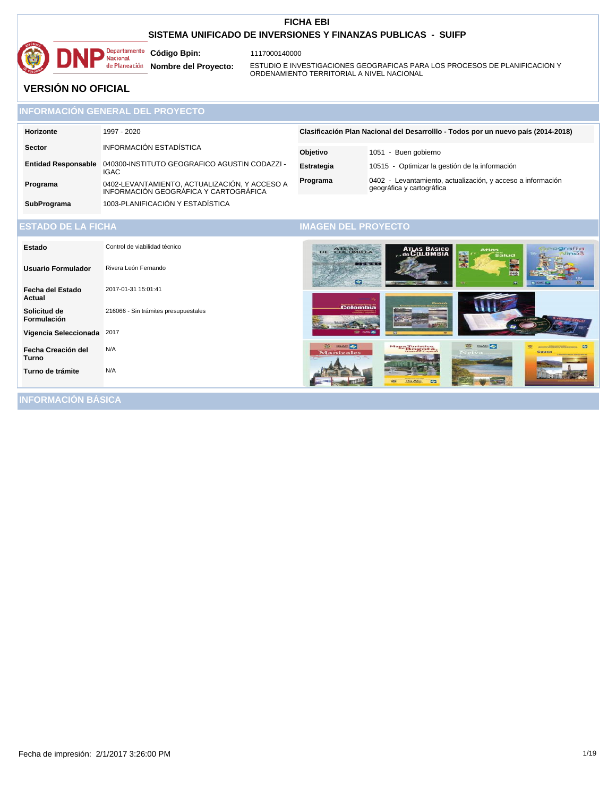

1117000140000

Nacional<br>
Nacional<br>
de Planeación **Nombre del Proyecto:** 

ESTUDIO E INVESTIGACIONES GEOGRAFICAS PARA LOS PROCESOS DE PLANIFICACION Y ORDENAMIENTO TERRITORIAL A NIVEL NACIONAL

# **VERSIÓN NO OFICIAL**

|           | <b>INFORMACION GENERAL DEL PROYECTO.</b> |                             |
|-----------|------------------------------------------|-----------------------------|
| Horizonte | 1997 - 2020                              | <b>Clasificación Plan N</b> |
| Sector    | INFORMACIÓN ESTADÍSTICA                  | A1.1.1.1.1.                 |

**Entidad Responsable** 040300-INSTITUTO GEOGRAFICO AGUSTIN CODAZZI - IGAC **Programa** 0402-LEVANTAMIENTO, ACTUALIZACIÓN, Y ACCESO A INFORMACIÓN GEOGRÁFICA Y CARTOGRÁFICA **Objetivo** 1051 - Buen gobierno **Estrategia** 10515 - Optimizar la gestión de la información **Programa** 0402 - Levantamiento, actualización, y acceso a información geográfica y cartográfica Iacional del Desarrolllo - Todos por un nuevo país (2014-2018)

**SubPrograma** 1003-PLANIFICACIÓN Y ESTADÍSTICA

| <b>ESTADO DE LA FICHA</b> |  |
|---------------------------|--|
|                           |  |

### **IMAGEN DEL PROYECTO**

| Estado                      | Control de viabilidad técnico        | ATLAS BÁSICO<br>Geografia<br>a Niños<br>DE COLOMBIA<br><b>Atlas</b><br>圞<br>$\overline{\tilde{\mathbf{s}}}$ alud                                                                     |
|-----------------------------|--------------------------------------|--------------------------------------------------------------------------------------------------------------------------------------------------------------------------------------|
| <b>Usuario Formulador</b>   | Rivera León Fernando                 | <b>BARK DESK</b><br><b>PAGE</b>                                                                                                                                                      |
| Fecha del Estado<br>Actual  | 2017-01-31 15:01:41                  | $\bullet$<br>$\bullet$<br><b>COMMERCIAL</b><br>æ<br>रू                                                                                                                               |
| Solicitud de<br>Formulación | 216066 - Sin trámites presupuestales | CHOCO<br>Colombia                                                                                                                                                                    |
| Vigencia Seleccionada       | 2017                                 |                                                                                                                                                                                      |
| Fecha Creación del<br>Turno | N/A                                  | <b>ED</b> IGAC<br>क<br><b>IGAC OF</b><br><b>RS</b><br><b>Allen Market Co., Co.</b><br>Mapa Turístico<br>Bogotá,<br><b>Manizales</b><br>Cauca<br>Neiva<br>Cananteriologic Geograficae |
| Turno de trámite            | N/A                                  | ☞                                                                                                                                                                                    |
| INFORMACIÓN RÁSICA          |                                      |                                                                                                                                                                                      |

**INFORMACIÓN BÁSICA**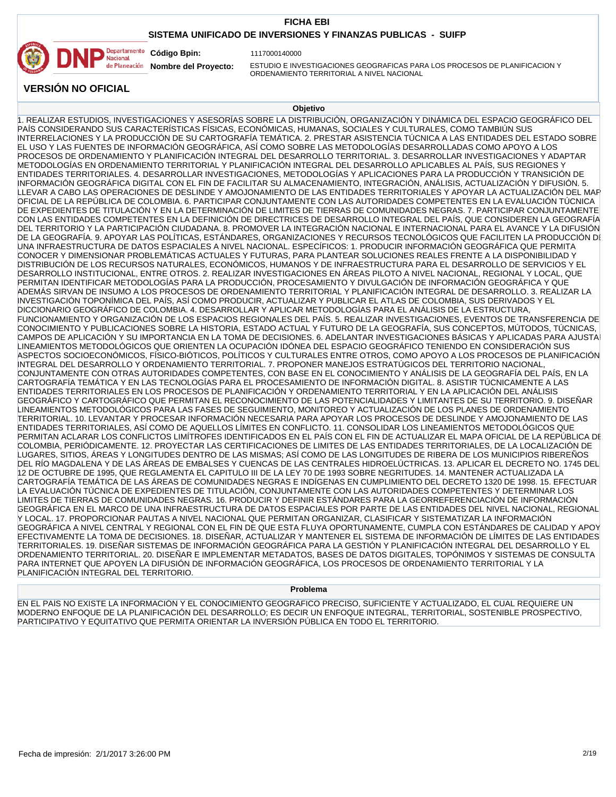### **SISTEMA UNIFICADO DE INVERSIONES Y FINANZAS PUBLICAS - SUIFP**



1117000140000

**Nombre del Proyecto:** 

ESTUDIO E INVESTIGACIONES GEOGRAFICAS PARA LOS PROCESOS DE PLANIFICACION Y ORDENAMIENTO TERRITORIAL A NIVEL NACIONAL

**VERSIÓN NO OFICIAL**

#### **Objetivo**

1. REALIZAR ESTUDIOS, INVESTIGACIONES Y ASESORÍAS SOBRE LA DISTRIBUCIÓN, ORGANIZACIÓN Y DINÁMICA DEL ESPACIO GEOGRÁFICO DEL PAÍS CONSIDERANDO SUS CARACTERÍSTICAS FÍSICAS, ECONÓMICAS, HUMANAS, SOCIALES Y CULTURALES, COMO TAMBIÚN SUS INTERRELACIONES Y LA PRODUCCIÓN DE SU CARTOGRAFÍA TEMÁTICA. 2. PRESTAR ASISTENCIA TÚCNICA A LAS ENTIDADES DEL ESTADO SOBRE EL USO Y LAS FUENTES DE INFORMACIÓN GEOGRÁFICA, ASÍ COMO SOBRE LAS METODOLOGÍAS DESARROLLADAS COMO APOYO A LOS PROCESOS DE ORDENAMIENTO Y PLANIFICACIÓN INTEGRAL DEL DESARROLLO TERRITORIAL. 3. DESARROLLAR INVESTIGACIONES Y ADAPTAR METODOLOGÍAS EN ORDENAMIENTO TERRITORIAL Y PLANIFICACIÓN INTEGRAL DEL DESARROLLO APLICABLES AL PAÍS, SUS REGIONES Y ENTIDADES TERRITORIALES. 4. DESARROLLAR INVESTIGACIONES, METODOLOGÍAS Y APLICACIONES PARA LA PRODUCCIÓN Y TRANSICIÓN DE INFORMACIÓN GEOGRÁFICA DIGITAL CON EL FIN DE FACILITAR SU ALMACENAMIENTO, INTEGRACIÓN, ANÁLISIS, ACTUALIZACIÓN Y DIFUSIÓN. 5. LLEVAR A CABO LAS OPERACIONES DE DESLINDE Y AMOJONAMIENTO DE LAS ENTIDADES TERRITORIALES Y APOYAR LA ACTUALIZACIÓN DEL MAP OFICIAL DE LA REPÚBLICA DE COLOMBIA. 6. PARTICIPAR CONJUNTAMENTE CON LAS AUTORIDADES COMPETENTES EN LA EVALUACIÓN TÚCNICA DE EXPEDIENTES DE TITULACIÓN Y EN LA DETERMINACIÓN DE LIMITES DE TIERRAS DE COMUNIDADES NEGRAS. 7. PARTICIPAR CONJUNTAMENTE CON LAS ENTIDADES COMPETENTES EN LA DEFINICIÓN DE DIRECTRICES DE DESARROLLO INTEGRAL DEL PAÍS, QUE CONSIDEREN LA GEOGRAFÍA DEL TERRITORIO Y LA PARTICIPACIÓN CIUDADANA. 8. PROMOVER LA INTEGRACIÓN NACIONAL E INTERNACIONAL PARA EL AVANCE Y LA DIFUSIÓN DE LA GEOGRAFÍA. 9. APOYAR LAS POLÍTICAS, ESTÁNDARES, ORGANIZACIONES Y RECURSOS TECNOLÓGICOS QUE FACILITEN LA PRODUCCIÓN DI UNA INFRAESTRUCTURA DE DATOS ESPACIALES A NIVEL NACIONAL. ESPECÍFICOS: 1. PRODUCIR INFORMACIÓN GEOGRÁFICA QUE PERMITA CONOCER Y DIMENSIONAR PROBLEMÁTICAS ACTUALES Y FUTURAS, PARA PLANTEAR SOLUCIONES REALES FRENTE A LA DISPONIBILIDAD Y DISTRIBUCIÓN DE LOS RECURSOS NATURALES, ECONÓMICOS, HUMANOS Y DE INFRAESTRUCTURA PARA EL DESARROLLO DE SERVICIOS Y EL DESARROLLO INSTITUCIONAL, ENTRE OTROS. 2. REALIZAR INVESTIGACIONES EN ÁREAS PILOTO A NIVEL NACIONAL, REGIONAL Y LOCAL, QUE PERMITAN IDENTIFICAR METODOLOGÍAS PARA LA PRODUCCIÓN, PROCESAMIENTO Y DIVULGACIÓN DE INFORMACIÓN GEOGRÁFICA Y QUE ADEMÁS SIRVAN DE INSUMO A LOS PROCESOS DE ORDENAMIENTO TERRITORIAL Y PLANIFICACIÓN INTEGRAL DE DESARROLLO. 3. REALIZAR LA INVESTIGACIÓN TOPONÍMICA DEL PAÍS, ASÍ COMO PRODUCIR, ACTUALIZAR Y PUBLICAR EL ATLAS DE COLOMBIA, SUS DERIVADOS Y EL DICCIONARIO GEOGRÁFICO DE COLOMBIA. 4. DESARROLLAR Y APLICAR METODOLOGÍAS PARA EL ANÁLISIS DE LA ESTRUCTURA, FUNCIONAMIENTO Y ORGANIZACIÓN DE LOS ESPACIOS REGIONALES DEL PAÍS. 5. REALIZAR INVESTIGACIONES, EVENTOS DE TRANSFERENCIA DE CONOCIMIENTO Y PUBLICACIONES SOBRE LA HISTORIA, ESTADO ACTUAL Y FUTURO DE LA GEOGRAFÍA, SUS CONCEPTOS, MÚTODOS, TÚCNICAS, CAMPOS DE APLICACIÓN Y SU IMPORTANCIA EN LA TOMA DE DECISIONES. 6. ADELANTAR INVESTIGACIONES BÁSICAS Y APLICADAS PARA AJUSTAR LINEAMIENTOS METODOLÓGICOS QUE ORIENTEN LA OCUPACIÓN IDÓNEA DEL ESPACIO GEOGRÁFICO TENIENDO EN CONSIDERACIÓN SUS ASPECTOS SOCIOECONÓMICOS, FÍSICO-BIÓTICOS, POLÍTICOS Y CULTURALES ENTRE OTROS, COMO APOYO A LOS PROCESOS DE PLANIFICACIÓN INTEGRAL DEL DESARROLLO Y ORDENAMIENTO TERRITORIAL. 7. PROPONER MANEJOS ESTRATÚGICOS DEL TERRITORIO NACIONAL, CONJUNTAMENTE CON OTRAS AUTORIDADES COMPETENTES, CON BASE EN EL CONOCIMIENTO Y ANÁLISIS DE LA GEOGRAFÍA DEL PAÍS, EN LA CARTOGRAFÍA TEMÁTICA Y EN LAS TECNOLOGÍAS PARA EL PROCESAMIENTO DE INFORMACIÓN DIGITAL. 8. ASISTIR TÚCNICAMENTE A LAS ENTIDADES TERRITORIALES EN LOS PROCESOS DE PLANIFICACIÓN Y ORDENAMIENTO TERRITORIAL Y EN LA APLICACIÓN DEL ANÁLISIS GEOGRÁFICO Y CARTOGRÁFICO QUE PERMITAN EL RECONOCIMIENTO DE LAS POTENCIALIDADES Y LIMITANTES DE SU TERRITORIO. 9. DISEÑAR LINEAMIENTOS METODOLÓGICOS PARA LAS FASES DE SEGUIMIENTO, MONITOREO Y ACTUALIZACIÓN DE LOS PLANES DE ORDENAMIENTO TERRITORIAL. 10. LEVANTAR Y PROCESAR INFORMACIÓN NECESARIA PARA APOYAR LOS PROCESOS DE DESLINDE Y AMOJONAMIENTO DE LAS ENTIDADES TERRITORIALES, ASÍ COMO DE AQUELLOS LÍMITES EN CONFLICTO. 11. CONSOLIDAR LOS LINEAMIENTOS METODOLÓGICOS QUE PERMITAN ACLARAR LOS CONFLICTOS LIMÍTROFES IDENTIFICADOS EN EL PAÍS CON EL FIN DE ACTUALIZAR EL MAPA OFICIAL DE LA REPÚBLICA DE COLOMBIA, PERIÓDICAMENTE. 12. PROYECTAR LAS CERTIFICACIONES DE LIMITES DE LAS ENTIDADES TERRITORIALES, DE LA LOCALIZACIÓN DE LUGARES, SITIOS, ÁREAS Y LONGITUDES DENTRO DE LAS MISMAS; ASÍ COMO DE LAS LONGITUDES DE RIBERA DE LOS MUNICIPIOS RIBEREÑOS DEL RÍO MAGDALENA Y DE LAS ÁREAS DE EMBALSES Y CUENCAS DE LAS CENTRALES HIDROELÚCTRICAS. 13. APLICAR EL DECRETO NO. 1745 DEL 12 DE OCTUBRE DE 1995, QUE REGLAMENTA EL CAPITULO III DE LA LEY 70 DE 1993 SOBRE NEGRITUDES. 14. MANTENER ACTUALIZADA LA CARTOGRAFÍA TEMÁTICA DE LAS ÁREAS DE COMUNIDADES NEGRAS E INDÍGENAS EN CUMPLIMIENTO DEL DECRETO 1320 DE 1998. 15. EFECTUAR LA EVALUACIÓN TÚCNICA DE EXPEDIENTES DE TITULACIÓN, CONJUNTAMENTE CON LAS AUTORIDADES COMPETENTES Y DETERMINAR LOS LIMITES DE TIERRAS DE COMUNIDADES NEGRAS. 16. PRODUCIR Y DEFINIR ESTÁNDARES PARA LA GEORREFERENCIACIÓN DE INFORMACIÓN GEOGRÁFICA EN EL MARCO DE UNA INFRAESTRUCTURA DE DATOS ESPACIALES POR PARTE DE LAS ENTIDADES DEL NIVEL NACIONAL, REGIONAL Y LOCAL. 17. PROPORCIONAR PAUTAS A NIVEL NACIONAL QUE PERMITAN ORGANIZAR, CLASIFICAR Y SISTEMATIZAR LA INFORMACIÓN GEOGRÁFICA A NIVEL CENTRAL Y REGIONAL CON EL FIN DE QUE ESTA FLUYA OPORTUNAMENTE, CUMPLA CON ESTÁNDARES DE CALIDAD Y APOY EFECTIVAMENTE LA TOMA DE DECISIONES. 18. DISEÑAR, ACTUALIZAR Y MANTENER EL SISTEMA DE INFORMACIÓN DE LÍMITES DE LAS ENTIDADES TERRITORIALES. 19. DISEÑAR SISTEMAS DE INFORMACIÓN GEOGRÁFICA PARA LA GESTIÓN Y PLANIFICACIÓN INTEGRAL DEL DESARROLLO Y EL ORDENAMIENTO TERRITORIAL. 20. DISEÑAR E IMPLEMENTAR METADATOS, BASES DE DATOS DIGITALES, TOPÓNIMOS Y SISTEMAS DE CONSULTA PARA INTERNET QUE APOYEN LA DIFUSIÓN DE INFORMACIÓN GEOGRÁFICA, LOS PROCESOS DE ORDENAMIENTO TERRITORIAL Y LA PLANIFICACIÓN INTEGRAL DEL TERRITORIO.

#### **Problema**

EN EL PAÍS NO EXISTE LA INFORMACIÓN Y EL CONOCIMIENTO GEOGRÁFICO PRECISO, SUFICIENTE Y ACTUALIZADO, EL CUAL REQUIERE UN MODERNO ENFOQUE DE LA PLANIFICACIÓN DEL DESARROLLO; ES DECIR UN ENFOQUE INTEGRAL, TERRITORIAL, SOSTENIBLE PROSPECTIVO, PARTICIPATIVO Y EQUITATIVO QUE PERMITA ORIENTAR LA INVERSIÓN PÚBLICA EN TODO EL TERRITORIO.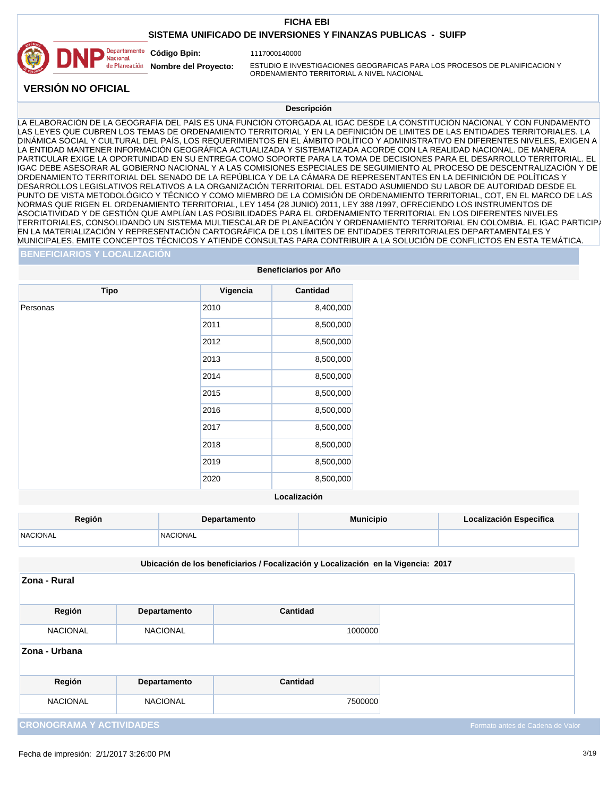## **SISTEMA UNIFICADO DE INVERSIONES Y FINANZAS PUBLICAS - SUIFP**



1117000140000

**Nombre del Proyecto:** 

ESTUDIO E INVESTIGACIONES GEOGRAFICAS PARA LOS PROCESOS DE PLANIFICACION Y ORDENAMIENTO TERRITORIAL A NIVEL NACIONAL

**VERSIÓN NO OFICIAL**

#### **Descripción**

LA ELABORACIÓN DE LA GEOGRAFÍA DEL PAÍS ES UNA FUNCIÓN OTORGADA AL IGAC DESDE LA CONSTITUCIÓN NACIONAL Y CON FUNDAMENTO LAS LEYES QUE CUBREN LOS TEMAS DE ORDENAMIENTO TERRITORIAL Y EN LA DEFINICIÓN DE LIMITES DE LAS ENTIDADES TERRITORIALES. LA DINÁMICA SOCIAL Y CULTURAL DEL PAÍS, LOS REQUERIMIENTOS EN EL ÁMBITO POLÍTICO Y ADMINISTRATIVO EN DIFERENTES NIVELES, EXIGEN A LA ENTIDAD MANTENER INFORMACIÓN GEOGRÁFICA ACTUALIZADA Y SISTEMATIZADA ACORDE CON LA REALIDAD NACIONAL. DE MANERA PARTICULAR EXIGE LA OPORTUNIDAD EN SU ENTREGA COMO SOPORTE PARA LA TOMA DE DECISIONES PARA EL DESARROLLO TERRITORIAL. EL IGAC DEBE ASESORAR AL GOBIERNO NACIONAL Y A LAS COMISIONES ESPECIALES DE SEGUIMIENTO AL PROCESO DE DESCENTRALIZACIÓN Y DE ORDENAMIENTO TERRITORIAL DEL SENADO DE LA REPÚBLICA Y DE LA CÁMARA DE REPRESENTANTES EN LA DEFINICIÓN DE POLÍTICAS Y DESARROLLOS LEGISLATIVOS RELATIVOS A LA ORGANIZACIÓN TERRITORIAL DEL ESTADO ASUMIENDO SU LABOR DE AUTORIDAD DESDE EL PUNTO DE VISTA METODOLÓGICO Y TÉCNICO Y COMO MIEMBRO DE LA COMISIÓN DE ORDENAMIENTO TERRITORIAL, COT, EN EL MARCO DE LAS NORMAS QUE RIGEN EL ORDENAMIENTO TERRITORIAL, LEY 1454 (28 JUNIO) 2011, LEY 388 /1997, OFRECIENDO LOS INSTRUMENTOS DE ASOCIATIVIDAD Y DE GESTIÓN QUE AMPLÍAN LAS POSIBILIDADES PARA EL ORDENAMIENTO TERRITORIAL EN LOS DIFERENTES NIVELES TERRITORIALES, CONSOLIDANDO UN SISTEMA MULTIESCALAR DE PLANEACIÓN Y ORDENAMIENTO TERRITORIAL EN COLOMBIA. EL IGAC PARTICIPA EN LA MATERIALIZACIÓN Y REPRESENTACIÓN CARTOGRÁFICA DE LOS LÍMITES DE ENTIDADES TERRITORIALES DEPARTAMENTALES Y MUNICIPALES, EMITE CONCEPTOS TÉCNICOS Y ATIENDE CONSULTAS PARA CONTRIBUIR A LA SOLUCIÓN DE CONFLICTOS EN ESTA TEMÁTICA.

#### **BENEFICIARIOS Y LOCALIZACIÓN**

| <b>Beneficiarios por Año</b> |          |                 |  |
|------------------------------|----------|-----------------|--|
| <b>Tipo</b>                  | Vigencia | <b>Cantidad</b> |  |
| Personas                     | 2010     | 8,400,000       |  |
|                              | 2011     | 8,500,000       |  |
|                              | 2012     | 8,500,000       |  |
|                              | 2013     | 8,500,000       |  |
|                              | 2014     | 8,500,000       |  |
|                              | 2015     | 8,500,000       |  |
|                              | 2016     | 8,500,000       |  |
|                              | 2017     | 8,500,000       |  |
|                              | 2018     | 8,500,000       |  |
|                              | 2019     | 8,500,000       |  |
|                              | 2020     | 8,500,000       |  |

#### **Localización**

| <b>Región</b>   | <b>Departamento</b> | <b>Municipio</b> | Localización Especifica |
|-----------------|---------------------|------------------|-------------------------|
| <b>NACIONAL</b> | <i>NACIONAL</i>     |                  |                         |

#### **Ubicación de los beneficiarios / Focalización y Localización en la Vigencia: 2017**

| Zona - Rural                    |                 |          |                                  |
|---------------------------------|-----------------|----------|----------------------------------|
| Región                          | Departamento    | Cantidad |                                  |
| <b>NACIONAL</b>                 | <b>NACIONAL</b> | 1000000  |                                  |
| Zona - Urbana                   |                 |          |                                  |
| Región                          | Departamento    | Cantidad |                                  |
| <b>NACIONAL</b>                 | <b>NACIONAL</b> | 7500000  |                                  |
| <b>CRONOGRAMA Y ACTIVIDADES</b> |                 |          | Formato antes de Cadena de Valor |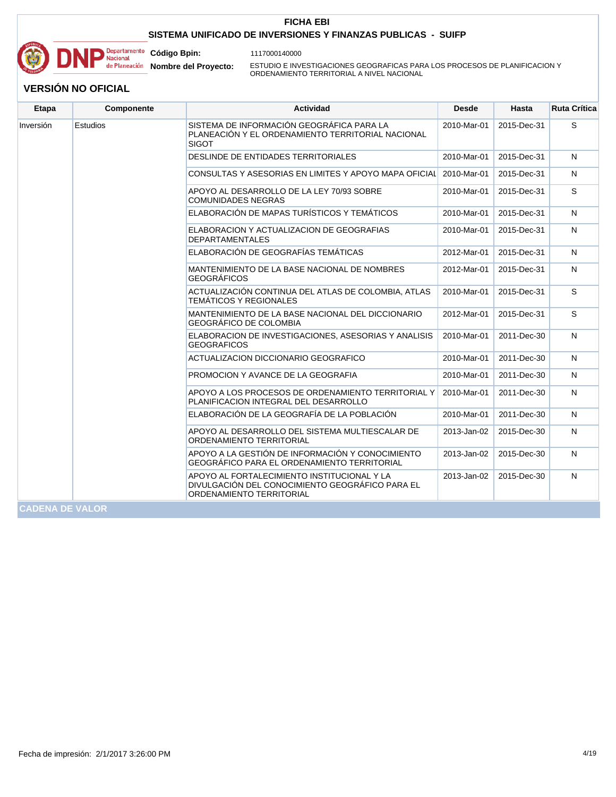

1117000140000

**Código Bpin: Nombre del Proyecto:** 

ESTUDIO E INVESTIGACIONES GEOGRAFICAS PARA LOS PROCESOS DE PLANIFICACION Y ORDENAMIENTO TERRITORIAL A NIVEL NACIONAL

| <b>Etapa</b>           | Componente | <b>Actividad</b>                                                                                                           | <b>Desde</b> | Hasta       | <b>Ruta Crítica</b> |
|------------------------|------------|----------------------------------------------------------------------------------------------------------------------------|--------------|-------------|---------------------|
| Inversión              | Estudios   | SISTEMA DE INFORMACIÓN GEOGRÁFICA PARA LA<br>PLANEACIÓN Y EL ORDENAMIENTO TERRITORIAL NACIONAL<br><b>SIGOT</b>             | 2010-Mar-01  | 2015-Dec-31 | S                   |
|                        |            | DESLINDE DE ENTIDADES TERRITORIALES                                                                                        | 2010-Mar-01  | 2015-Dec-31 | N                   |
|                        |            | CONSULTAS Y ASESORIAS EN LIMITES Y APOYO MAPA OFICIAL                                                                      | 2010-Mar-01  | 2015-Dec-31 | N                   |
|                        |            | APOYO AL DESARROLLO DE LA LEY 70/93 SOBRE<br><b>COMUNIDADES NEGRAS</b>                                                     | 2010-Mar-01  | 2015-Dec-31 | S                   |
|                        |            | ELABORACIÓN DE MAPAS TURÍSTICOS Y TEMÁTICOS                                                                                | 2010-Mar-01  | 2015-Dec-31 | N                   |
|                        |            | ELABORACION Y ACTUALIZACION DE GEOGRAFIAS<br><b>DEPARTAMENTALES</b>                                                        | 2010-Mar-01  | 2015-Dec-31 | N                   |
|                        |            | ELABORACIÓN DE GEOGRAFÍAS TEMÁTICAS                                                                                        | 2012-Mar-01  | 2015-Dec-31 | N                   |
|                        |            | MANTENIMIENTO DE LA BASE NACIONAL DE NOMBRES<br><b>GEOGRÁFICOS</b>                                                         | 2012-Mar-01  | 2015-Dec-31 | N                   |
|                        |            | ACTUALIZACIÓN CONTINUA DEL ATLAS DE COLOMBIA, ATLAS<br><b>TEMÁTICOS Y REGIONALES</b>                                       | 2010-Mar-01  | 2015-Dec-31 | S                   |
|                        |            | MANTENIMIENTO DE LA BASE NACIONAL DEL DICCIONARIO<br><b>GEOGRÁFICO DE COLOMBIA</b>                                         | 2012-Mar-01  | 2015-Dec-31 | S                   |
|                        |            | ELABORACION DE INVESTIGACIONES, ASESORIAS Y ANALISIS<br><b>GEOGRAFICOS</b>                                                 | 2010-Mar-01  | 2011-Dec-30 | N                   |
|                        |            | ACTUALIZACION DICCIONARIO GEOGRAFICO                                                                                       | 2010-Mar-01  | 2011-Dec-30 | N                   |
|                        |            | PROMOCION Y AVANCE DE LA GEOGRAFIA                                                                                         | 2010-Mar-01  | 2011-Dec-30 | N                   |
|                        |            | APOYO A LOS PROCESOS DE ORDENAMIENTO TERRITORIAL Y<br>PLANIFICACION INTEGRAL DEL DESARROLLO                                | 2010-Mar-01  | 2011-Dec-30 | N                   |
|                        |            | ELABORACIÓN DE LA GEOGRAFÍA DE LA POBLACIÓN                                                                                | 2010-Mar-01  | 2011-Dec-30 | N                   |
|                        |            | APOYO AL DESARROLLO DEL SISTEMA MULTIESCALAR DE<br>ORDENAMIENTO TERRITORIAL                                                | 2013-Jan-02  | 2015-Dec-30 | N                   |
|                        |            | APOYO A LA GESTIÓN DE INFORMACIÓN Y CONOCIMIENTO<br>GEOGRÁFICO PARA EL ORDENAMIENTO TERRITORIAL                            | 2013-Jan-02  | 2015-Dec-30 | N                   |
|                        |            | APOYO AL FORTALECIMIENTO INSTITUCIONAL Y LA<br>DIVULGACIÓN DEL CONOCIMIENTO GEOGRÁFICO PARA EL<br>ORDENAMIENTO TERRITORIAL | 2013-Jan-02  | 2015-Dec-30 | N                   |
| <b>CADENA DE VALOR</b> |            |                                                                                                                            |              |             |                     |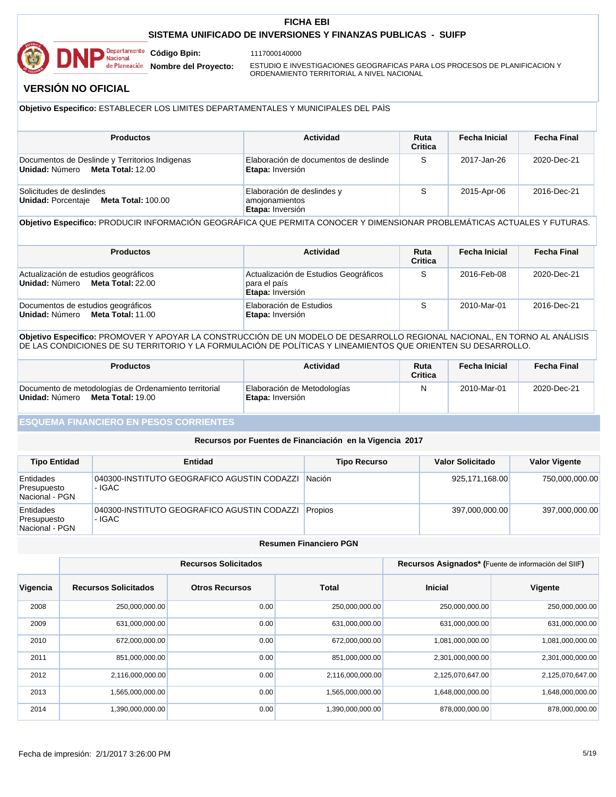

1117000140000

**Nombre del Proyecto:** 

ESTUDIO E INVESTIGACIONES GEOGRAFICAS PARA LOS PROCESOS DE PLANIFICACION Y ORDENAMIENTO TERRITORIAL A NIVEL NACIONAL

# **VERSIÓN NO OFICIAL**

#### **Objetivo Especifico:** ESTABLECER LOS LIMITES DEPARTAMENTALES Y MUNICIPALES DEL PAÌS

| <b>Productos</b>                                                                   | Actividad                                                        | Ruta<br><b>Critica</b> | <b>Fecha Inicial</b> | Fecha Final |
|------------------------------------------------------------------------------------|------------------------------------------------------------------|------------------------|----------------------|-------------|
| Documentos de Deslinde y Territorios Indigenas<br>Unidad: Número Meta Total: 12.00 | Elaboración de documentos de deslinde<br>Etapa: Inversión        | S                      | 2017-Jan-26          | 2020-Dec-21 |
| Solicitudes de deslindes<br><b>Meta Total: 100.00</b><br>Unidad: Porcentaie        | Elaboración de deslindes y<br>amojonamientos<br>Etapa: Inversión | S                      | 2015-Apr-06          | 2016-Dec-21 |

#### **Objetivo Especifico:** PRODUCIR INFORMACIÓN GEOGRÁFICA QUE PERMITA CONOCER Y DIMENSIONAR PROBLEMÁTICAS ACTUALES Y FUTURAS.

| <b>Productos</b>                                                          | Actividad                                                                 | Ruta<br><b>Critica</b> | <b>Fecha Inicial</b> | <b>Fecha Final</b> |
|---------------------------------------------------------------------------|---------------------------------------------------------------------------|------------------------|----------------------|--------------------|
| Actualización de estudios geográficos<br>Unidad: Número Meta Total: 22.00 | Actualización de Estudios Geográficos<br>para el país<br>Etapa: Inversión | S                      | 2016-Feb-08          | 2020-Dec-21        |
| Documentos de estudios geográficos<br>Unidad: Número Meta Total: 11.00    | Elaboración de Estudios<br>Etapa: Inversión                               | S                      | 2010-Mar-01          | 2016-Dec-21        |

#### **Objetivo Especifico:** PROMOVER Y APOYAR LA CONSTRUCCIÓN DE UN MODELO DE DESARROLLO REGIONAL NACIONAL, EN TORNO AL ANÁLISIS DE LAS CONDICIONES DE SU TERRITORIO Y LA FORMULACIÓN DE POLÍTICAS Y LINEAMIENTOS QUE ORIENTEN SU DESARROLLO.

| <b>Productos</b>                                                                                    | Actividad                                       | Ruta<br><b>Critica</b> | Fecha Inicial | <b>Fecha Final</b> |
|-----------------------------------------------------------------------------------------------------|-------------------------------------------------|------------------------|---------------|--------------------|
| Documento de metodologías de Ordenamiento territorial<br>Unidad: Número<br><b>Meta Total: 19.00</b> | Elaboración de Metodologías<br>Etapa: Inversión | N                      | 2010-Mar-01   | 2020-Dec-21        |

#### **ESQUEMA FINANCIERO EN PESOS CORRIENTES**

#### **Recursos por Fuentes de Financiación en la Vigencia 2017**

| <b>Tipo Entidad</b>                        | Entidad                                               | <b>Tipo Recurso</b> | Valor Solicitado | <b>Valor Vigente</b> |
|--------------------------------------------|-------------------------------------------------------|---------------------|------------------|----------------------|
| Entidades<br>Presupuesto<br>Nacional - PGN | 040300-INSTITUTO GEOGRAFICO AGUSTIN CODAZZI<br>- IGAC | <b>Nación</b>       | 925,171,168.00   | 750,000,000.00       |
| Entidades<br>Presupuesto<br>Nacional - PGN | 040300-INSTITUTO GEOGRAFICO AGUSTIN CODAZZI<br>- IGAC | <b>Propios</b>      | 397.000.000.00   | 397,000,000.00       |

#### **Resumen Financiero PGN**

|          |                             | <b>Recursos Solicitados</b> | Recursos Asignados* (Fuente de información del SIIF) |                  |                  |
|----------|-----------------------------|-----------------------------|------------------------------------------------------|------------------|------------------|
| Vigencia | <b>Recursos Solicitados</b> | <b>Otros Recursos</b>       | Total                                                | <b>Inicial</b>   | Vigente          |
| 2008     | 250,000,000.00              | 0.00                        | 250,000,000.00                                       | 250,000,000.00   | 250,000,000.00   |
| 2009     | 631,000,000.00              | 0.00                        | 631,000,000.00                                       | 631,000,000.00   | 631,000,000.00   |
| 2010     | 672,000,000.00              | 0.00                        | 672,000,000.00                                       | 1,081,000,000.00 | 1,081,000,000.00 |
| 2011     | 851,000,000.00              | 0.00                        | 851,000,000.00                                       | 2,301,000,000.00 | 2,301,000,000.00 |
| 2012     | 2,116,000,000.00            | 0.00                        | 2,116,000,000.00                                     | 2,125,070,647.00 | 2,125,070,647.00 |
| 2013     | 1,565,000,000.00            | 0.00                        | 1,565,000,000.00                                     | 1,648,000,000.00 | 1,648,000,000.00 |
| 2014     | 1,390,000,000.00            | 0.00                        | 1,390,000,000.00                                     | 878,000,000.00   | 878,000,000.00   |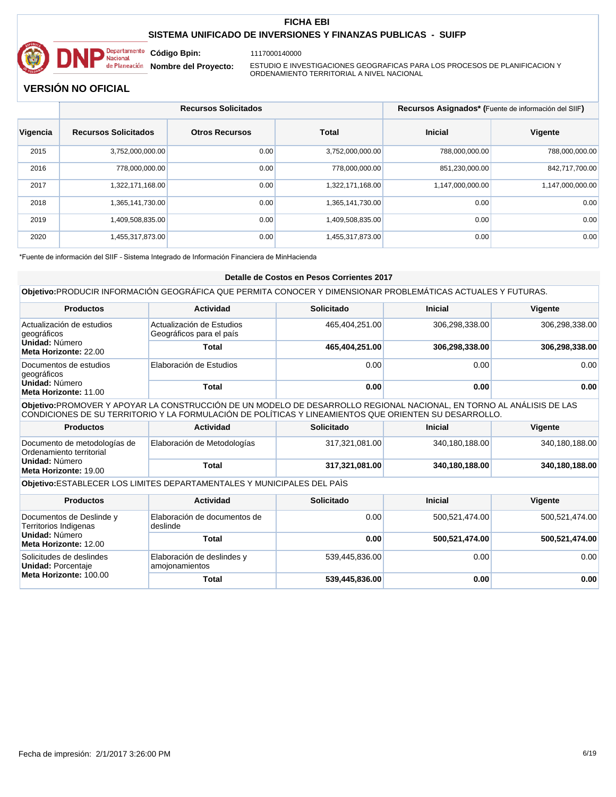

1117000140000

**Nombre del Proyecto:** 

ESTUDIO E INVESTIGACIONES GEOGRAFICAS PARA LOS PROCESOS DE PLANIFICACION Y ORDENAMIENTO TERRITORIAL A NIVEL NACIONAL

# **VERSIÓN NO OFICIAL**

|          | <b>Recursos Solicitados</b> |                       |                  | Recursos Asignados* (Fuente de información del SIIF) |                  |
|----------|-----------------------------|-----------------------|------------------|------------------------------------------------------|------------------|
| Vigencia | <b>Recursos Solicitados</b> | <b>Otros Recursos</b> | Total            | <b>Inicial</b>                                       | <b>Vigente</b>   |
| 2015     | 3,752,000,000.00            | 0.00                  | 3,752,000,000.00 | 788.000.000.00                                       | 788,000,000.00   |
| 2016     | 778,000,000.00              | 0.00                  | 778.000.000.00   | 851,230,000.00                                       | 842,717,700.00   |
| 2017     | 1,322,171,168.00            | 0.00                  | 1,322,171,168.00 | 1,147,000,000.00                                     | 1,147,000,000.00 |
| 2018     | 1,365,141,730.00            | 0.00                  | 1,365,141,730.00 | 0.00                                                 | 0.00             |
| 2019     | 1,409,508,835.00            | 0.00                  | 1,409,508,835.00 | 0.00                                                 | 0.00             |
| 2020     | 1,455,317,873.00            | 0.00                  | 1.455.317.873.00 | 0.00                                                 | 0.00             |

\*Fuente de información del SIIF - Sistema Integrado de Información Financiera de MinHacienda

#### **Detalle de Costos en Pesos Corrientes 2017**

|                                                                                                                                                                                                                               | Objetivo: PRODUCIR INFORMACIÓN GEOGRÁFICA QUE PERMITA CONOCER Y DIMENSIONAR PROBLEMÁTICAS ACTUALES Y FUTURAS. |                |                |                |  |
|-------------------------------------------------------------------------------------------------------------------------------------------------------------------------------------------------------------------------------|---------------------------------------------------------------------------------------------------------------|----------------|----------------|----------------|--|
| <b>Productos</b>                                                                                                                                                                                                              | Actividad                                                                                                     | Solicitado     | <b>Inicial</b> | Vigente        |  |
| Actualización de estudios<br>geográficos                                                                                                                                                                                      | Actualización de Estudios<br>Geográficos para el país                                                         | 465,404,251.00 | 306,298,338.00 | 306,298,338.00 |  |
| Unidad: Número<br>Meta Horizonte: 22.00                                                                                                                                                                                       | Total                                                                                                         | 465,404,251.00 | 306,298,338.00 | 306,298,338.00 |  |
| Documentos de estudios<br>geográficos                                                                                                                                                                                         | Elaboración de Estudios                                                                                       | 0.00           | 0.00           | 0.00           |  |
| Unidad: Número<br>Meta Horizonte: 11.00                                                                                                                                                                                       | Total                                                                                                         | 0.00           | 0.00           | 0.00           |  |
| Objetivo:PROMOVER Y APOYAR LA CONSTRUCCIÓN DE UN MODELO DE DESARROLLO REGIONAL NACIONAL, EN TORNO AL ANÁLISIS DE LAS<br>CONDICIONES DE SU TERRITORIO Y LA FORMULACIÓN DE POLÍTICAS Y LINEAMIENTOS QUE ORIENTEN SU DESARROLLO. |                                                                                                               |                |                |                |  |
| <b>Productos</b>                                                                                                                                                                                                              | Actividad                                                                                                     | Solicitado     | <b>Inicial</b> | Vigente        |  |
| Documento de metodologías de<br>Ordenamiento territorial                                                                                                                                                                      | Elaboración de Metodologías                                                                                   | 317,321,081.00 | 340,180,188.00 | 340,180,188.00 |  |
| Unidad: Número<br>Meta Horizonte: 19.00                                                                                                                                                                                       | <b>Total</b>                                                                                                  | 317,321,081.00 | 340,180,188.00 | 340,180,188.00 |  |
|                                                                                                                                                                                                                               | Objetivo: ESTABLECER LOS LIMITES DEPARTAMENTALES Y MUNICIPALES DEL PAÍS                                       |                |                |                |  |
| <b>Productos</b>                                                                                                                                                                                                              | <b>Actividad</b>                                                                                              | Solicitado     | Inicial        | Vigente        |  |
| Documentos de Deslinde y<br>Territorios Indigenas                                                                                                                                                                             | Elaboración de documentos de<br>deslinde                                                                      | 0.00           | 500,521,474.00 | 500,521,474.00 |  |
| Unidad: Número<br>Meta Horizonte: 12.00                                                                                                                                                                                       | <b>Total</b>                                                                                                  | 0.00           | 500,521,474.00 | 500,521,474.00 |  |
| Solicitudes de deslindes<br><b>Unidad: Porcentaje</b>                                                                                                                                                                         | Elaboración de deslindes y<br>amojonamientos                                                                  | 539,445,836.00 | 0.00           | 0.00           |  |
| Meta Horizonte: 100.00                                                                                                                                                                                                        | <b>Total</b>                                                                                                  | 539,445,836.00 | 0.00           | 0.00           |  |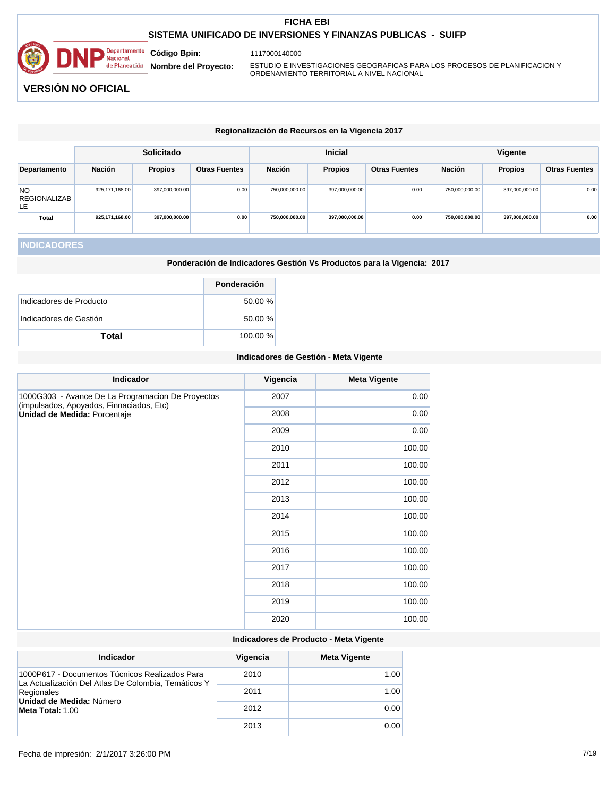

1117000140000

**Nombre del Proyecto:** 

ESTUDIO E INVESTIGACIONES GEOGRAFICAS PARA LOS PROCESOS DE PLANIFICACION Y ORDENAMIENTO TERRITORIAL A NIVEL NACIONAL

# **VERSIÓN NO OFICIAL**

|                                        | Regionalización de Recursos en la Vigencia 2017 |                |                      |                |                |                      |                |                |                      |
|----------------------------------------|-------------------------------------------------|----------------|----------------------|----------------|----------------|----------------------|----------------|----------------|----------------------|
| <b>Inicial</b><br><b>Solicitado</b>    |                                                 |                |                      |                | <b>Vigente</b> |                      |                |                |                      |
| Departamento                           | Nación                                          | <b>Propios</b> | <b>Otras Fuentes</b> | Nación         | <b>Propios</b> | <b>Otras Fuentes</b> | <b>Nación</b>  | <b>Propios</b> | <b>Otras Fuentes</b> |
| <b>NO</b><br><b>REGIONALIZAB</b><br>LE | 925, 171, 168.00                                | 397,000,000.00 | 0.00                 | 750,000,000.00 | 397,000,000.00 | 0.00                 | 750,000,000.00 | 397,000,000.00 | 0.00                 |
| <b>Total</b>                           | 925,171,168.00                                  | 397,000,000.00 | 0.00                 | 750,000,000.00 | 397,000,000.00 | 0.00                 | 750.000.000.00 | 397,000,000.00 | 0.00                 |

# **INDICADORES**

**Ponderación de Indicadores Gestión Vs Productos para la Vigencia: 2017**

|                         | Ponderación |
|-------------------------|-------------|
| Indicadores de Producto | 50.00 %     |
| Indicadores de Gestión  | 50.00 %     |
| Total                   | 100.00 %    |

#### **Indicadores de Gestión - Meta Vigente**

| <b>Indicador</b>                                                                              | Vigencia | <b>Meta Vigente</b> |
|-----------------------------------------------------------------------------------------------|----------|---------------------|
| 1000G303 - Avance De La Programacion De Proyectos<br>(impulsados, Apoyados, Finnaciados, Etc) | 2007     | 0.00                |
| Unidad de Medida: Porcentaje                                                                  | 2008     | 0.00                |
|                                                                                               | 2009     | 0.00                |
|                                                                                               | 2010     | 100.00              |
|                                                                                               | 2011     | 100.00              |
|                                                                                               | 2012     | 100.00              |
|                                                                                               | 2013     | 100.00              |
|                                                                                               | 2014     | 100.00              |
|                                                                                               | 2015     | 100.00              |
|                                                                                               | 2016     | 100.00              |
|                                                                                               | 2017     | 100.00              |
|                                                                                               | 2018     | 100.00              |
|                                                                                               | 2019     | 100.00              |
|                                                                                               | 2020     | 100.00              |

# **Indicadores de Producto - Meta Vigente**

| Indicador                                                                                             | Vigencia | <b>Meta Vigente</b> |
|-------------------------------------------------------------------------------------------------------|----------|---------------------|
| 1000P617 - Documentos Túcnicos Realizados Para<br>La Actualización Del Atlas De Colombia, Temáticos Y | 2010     | 1.00                |
| Regionales<br>Unidad de Medida: Número                                                                | 2011     | 1.00                |
| Meta Total: 1.00                                                                                      | 2012     | 0.00                |
|                                                                                                       | 2013     | 0.00                |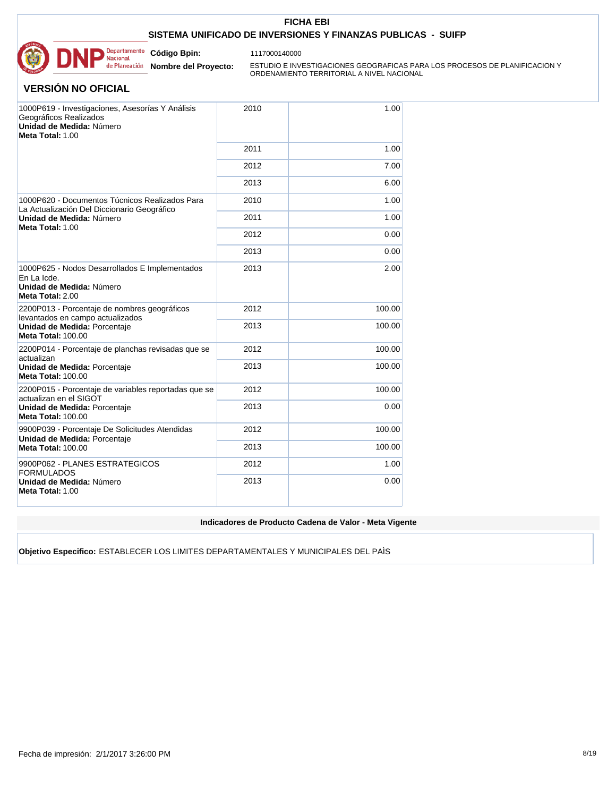

1117000140000

**Nombre del Proyecto:** 

ESTUDIO E INVESTIGACIONES GEOGRAFICAS PARA LOS PROCESOS DE PLANIFICACION Y ORDENAMIENTO TERRITORIAL A NIVEL NACIONAL

## **VERSIÓN NO OFICIAL**

| 1000P619 - Investigaciones, Asesorías Y Análisis<br>Geográficos Realizados<br>Unidad de Medida: Número<br>Meta Total: 1.00 | 2010 | 1.00   |
|----------------------------------------------------------------------------------------------------------------------------|------|--------|
|                                                                                                                            | 2011 | 1.00   |
|                                                                                                                            | 2012 | 7.00   |
|                                                                                                                            | 2013 | 6.00   |
| 1000P620 - Documentos Túcnicos Realizados Para<br>La Actualización Del Diccionario Geográfico                              | 2010 | 1.00   |
| Unidad de Medida: Número                                                                                                   | 2011 | 1.00   |
| Meta Total: 1.00                                                                                                           | 2012 | 0.00   |
|                                                                                                                            | 2013 | 0.00   |
| 1000P625 - Nodos Desarrollados E Implementados<br>En La Icde.<br>Unidad de Medida: Número<br>Meta Total: 2.00              | 2013 | 2.00   |
| 2200P013 - Porcentaje de nombres geográficos<br>levantados en campo actualizados                                           | 2012 | 100.00 |
| Unidad de Medida: Porcentaje<br><b>Meta Total: 100.00</b>                                                                  | 2013 | 100.00 |
| 2200P014 - Porcentaje de planchas revisadas que se<br>actualizan                                                           | 2012 | 100.00 |
| Unidad de Medida: Porcentaje<br><b>Meta Total: 100.00</b>                                                                  | 2013 | 100.00 |
| 2200P015 - Porcentaje de variables reportadas que se<br>actualizan en el SIGOT                                             | 2012 | 100.00 |
| Unidad de Medida: Porcentaje<br><b>Meta Total: 100.00</b>                                                                  | 2013 | 0.00   |
| 9900P039 - Porcentaje De Solicitudes Atendidas<br>Unidad de Medida: Porcentaje                                             | 2012 | 100.00 |
| <b>Meta Total: 100.00</b>                                                                                                  | 2013 | 100.00 |
| 9900P062 - PLANES ESTRATEGICOS<br><b>FORMULADOS</b>                                                                        | 2012 | 1.00   |
| Unidad de Medida: Número<br>Meta Total: 1.00                                                                               | 2013 | 0.00   |

**Indicadores de Producto Cadena de Valor - Meta Vigente**

**Objetivo Especifico:** ESTABLECER LOS LIMITES DEPARTAMENTALES Y MUNICIPALES DEL PAÌS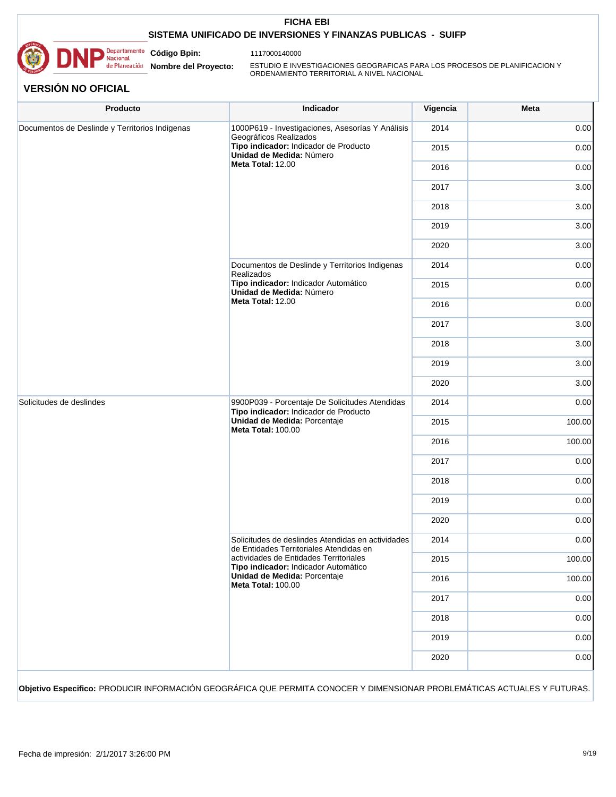

1117000140000

**Nombre del Proyecto:** 

**Código Bpin:**

ESTUDIO E INVESTIGACIONES GEOGRAFICAS PARA LOS PROCESOS DE PLANIFICACION Y ORDENAMIENTO TERRITORIAL A NIVEL NACIONAL

# **VERSIÓN NO OFICIAL**

| Documentos de Deslinde y Territorios Indigenas | 1000P619 - Investigaciones, Asesorías Y Análisis<br>Geográficos Realizados                                                                    | 2014 | 0.00   |
|------------------------------------------------|-----------------------------------------------------------------------------------------------------------------------------------------------|------|--------|
|                                                | Tipo indicador: Indicador de Producto<br>Unidad de Medida: Número                                                                             | 2015 | 0.00   |
|                                                | Meta Total: 12.00                                                                                                                             | 2016 | 0.00   |
|                                                |                                                                                                                                               | 2017 | 3.00   |
|                                                |                                                                                                                                               | 2018 | 3.00   |
|                                                |                                                                                                                                               | 2019 | 3.00   |
|                                                |                                                                                                                                               | 2020 | 3.00   |
|                                                | Documentos de Deslinde y Territorios Indigenas<br>Realizados                                                                                  | 2014 | 0.00   |
|                                                | Tipo indicador: Indicador Automático<br>Unidad de Medida: Número                                                                              | 2015 | 0.00   |
|                                                | Meta Total: 12.00                                                                                                                             | 2016 | 0.00   |
|                                                |                                                                                                                                               | 2017 | 3.00   |
|                                                |                                                                                                                                               | 2018 | 3.00   |
|                                                |                                                                                                                                               | 2019 | 3.00   |
|                                                |                                                                                                                                               | 2020 | 3.00   |
| Solicitudes de deslindes                       | 9900P039 - Porcentaje De Solicitudes Atendidas<br>Tipo indicador: Indicador de Producto<br>Unidad de Medida: Porcentaje<br>Meta Total: 100.00 | 2014 | 0.00   |
|                                                |                                                                                                                                               | 2015 | 100.00 |
|                                                |                                                                                                                                               | 2016 | 100.00 |
|                                                |                                                                                                                                               | 2017 | 0.00   |
|                                                |                                                                                                                                               | 2018 | 0.00   |
|                                                |                                                                                                                                               | 2019 | 0.00   |
|                                                |                                                                                                                                               | 2020 | 0.00   |
|                                                | Solicitudes de deslindes Atendidas en actividades<br>de Entidades Territoriales Atendidas en                                                  | 2014 | 0.00   |
|                                                | actividades de Entidades Territoriales<br>Tipo indicador: Indicador Automático                                                                | 2015 | 100.00 |
|                                                | Unidad de Medida: Porcentaje<br>Meta Total: 100.00                                                                                            | 2016 | 100.00 |
|                                                |                                                                                                                                               | 2017 | 0.00   |
|                                                |                                                                                                                                               | 2018 | 0.00   |
|                                                |                                                                                                                                               | 2019 | 0.00   |
|                                                |                                                                                                                                               | 2020 | 0.00   |

**Objetivo Especifico:** PRODUCIR INFORMACIÓN GEOGRÁFICA QUE PERMITA CONOCER Y DIMENSIONAR PROBLEMÁTICAS ACTUALES Y FUTURAS.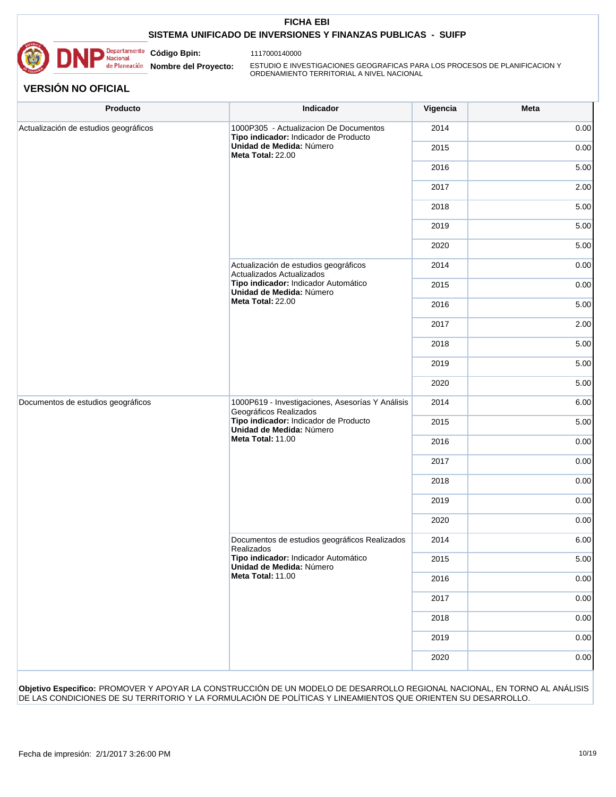

1117000140000

Nacional<br>
Nacional<br>
de Planeación **Nombre del Proyecto:** 

ESTUDIO E INVESTIGACIONES GEOGRAFICAS PARA LOS PROCESOS DE PLANIFICACION Y ORDENAMIENTO TERRITORIAL A NIVEL NACIONAL

# **VERSIÓN NO OFICIAL**

| Producto                              | Indicador                                                                                                                                                            | Vigencia | Meta |
|---------------------------------------|----------------------------------------------------------------------------------------------------------------------------------------------------------------------|----------|------|
| Actualización de estudios geográficos | 1000P305 - Actualizacion De Documentos<br>Tipo indicador: Indicador de Producto                                                                                      | 2014     | 0.00 |
|                                       | Unidad de Medida: Número<br>Meta Total: 22.00                                                                                                                        | 2015     | 0.00 |
|                                       |                                                                                                                                                                      | 2016     | 5.00 |
|                                       |                                                                                                                                                                      | 2017     | 2.00 |
|                                       |                                                                                                                                                                      | 2018     | 5.00 |
|                                       |                                                                                                                                                                      | 2019     | 5.00 |
|                                       |                                                                                                                                                                      | 2020     | 5.00 |
|                                       | Actualización de estudios geográficos<br>Actualizados Actualizados                                                                                                   | 2014     | 0.00 |
|                                       | Tipo indicador: Indicador Automático<br>Unidad de Medida: Número                                                                                                     | 2015     | 0.00 |
|                                       | Meta Total: 22.00                                                                                                                                                    | 2016     | 5.00 |
|                                       |                                                                                                                                                                      | 2017     | 2.00 |
|                                       |                                                                                                                                                                      | 2018     | 5.00 |
|                                       |                                                                                                                                                                      | 2019     | 5.00 |
|                                       |                                                                                                                                                                      | 2020     | 5.00 |
| Documentos de estudios geográficos    | 1000P619 - Investigaciones, Asesorías Y Análisis<br>Geográficos Realizados<br>Tipo indicador: Indicador de Producto<br>Unidad de Medida: Número<br>Meta Total: 11.00 | 2014     | 6.00 |
|                                       |                                                                                                                                                                      | 2015     | 5.00 |
|                                       |                                                                                                                                                                      | 2016     | 0.00 |
|                                       |                                                                                                                                                                      | 2017     | 0.00 |
|                                       |                                                                                                                                                                      | 2018     | 0.00 |
|                                       |                                                                                                                                                                      | 2019     | 0.00 |
|                                       |                                                                                                                                                                      | 2020     | 0.00 |
|                                       | Documentos de estudios geográficos Realizados<br>Realizados                                                                                                          | 2014     | 6.00 |
|                                       | Tipo indicador: Indicador Automático<br>Unidad de Medida: Número                                                                                                     | 2015     | 5.00 |
|                                       | Meta Total: 11.00                                                                                                                                                    | 2016     | 0.00 |
|                                       |                                                                                                                                                                      | 2017     | 0.00 |
|                                       |                                                                                                                                                                      | 2018     | 0.00 |
|                                       |                                                                                                                                                                      | 2019     | 0.00 |
|                                       |                                                                                                                                                                      | 2020     | 0.00 |

**Objetivo Especifico:** PROMOVER Y APOYAR LA CONSTRUCCIÓN DE UN MODELO DE DESARROLLO REGIONAL NACIONAL, EN TORNO AL ANÁLISIS DE LAS CONDICIONES DE SU TERRITORIO Y LA FORMULACIÓN DE POLÍTICAS Y LINEAMIENTOS QUE ORIENTEN SU DESARROLLO.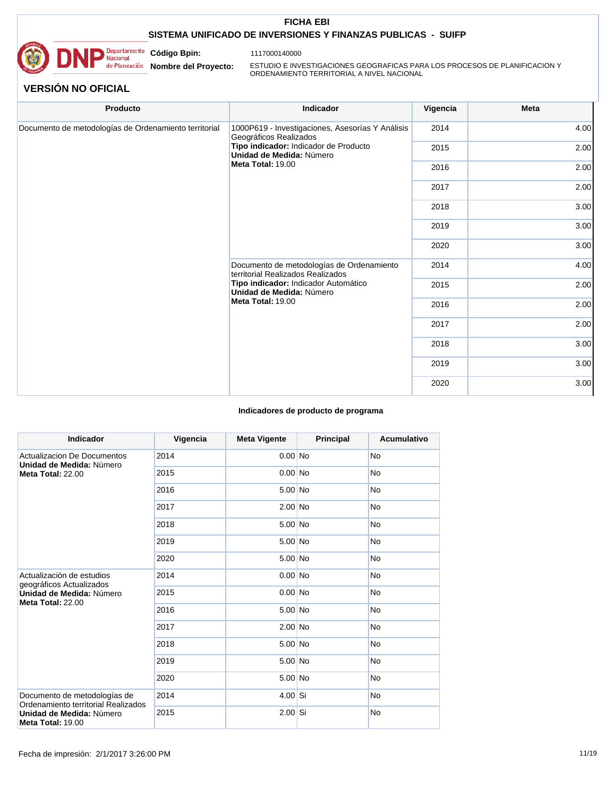

1117000140000

**Nombre del Proyecto:** 

**Código Bpin:**

ESTUDIO E INVESTIGACIONES GEOGRAFICAS PARA LOS PROCESOS DE PLANIFICACION Y ORDENAMIENTO TERRITORIAL A NIVEL NACIONAL

# **VERSIÓN NO OFICIAL**

| Producto                                              | Indicador                                                                                                                                                               | Vigencia | Meta |
|-------------------------------------------------------|-------------------------------------------------------------------------------------------------------------------------------------------------------------------------|----------|------|
| Documento de metodologías de Ordenamiento territorial | 1000P619 - Investigaciones, Asesorías Y Análisis<br>Geográficos Realizados                                                                                              | 2014     | 4.00 |
|                                                       | Tipo indicador: Indicador de Producto<br>Unidad de Medida: Número                                                                                                       | 2015     | 2.00 |
|                                                       | Meta Total: 19.00                                                                                                                                                       | 2016     | 2.00 |
|                                                       |                                                                                                                                                                         | 2017     | 2.00 |
|                                                       |                                                                                                                                                                         | 2018     | 3.00 |
|                                                       |                                                                                                                                                                         | 2019     | 3.00 |
|                                                       |                                                                                                                                                                         | 2020     | 3.00 |
|                                                       | Documento de metodologías de Ordenamiento<br>territorial Realizados Realizados<br>Tipo indicador: Indicador Automático<br>Unidad de Medida: Número<br>Meta Total: 19.00 | 2014     | 4.00 |
|                                                       |                                                                                                                                                                         | 2015     | 2.00 |
|                                                       |                                                                                                                                                                         | 2016     | 2.00 |
|                                                       |                                                                                                                                                                         | 2017     | 2.00 |
|                                                       |                                                                                                                                                                         | 2018     | 3.00 |
|                                                       |                                                                                                                                                                         | 2019     | 3.00 |
|                                                       |                                                                                                                                                                         | 2020     | 3.00 |

#### **Indicadores de producto de programa**

| <b>Indicador</b>                                                    | Vigencia | <b>Meta Vigente</b> | Principal | <b>Acumulativo</b> |
|---------------------------------------------------------------------|----------|---------------------|-----------|--------------------|
| Actualizacion De Documentos<br>Unidad de Medida: Número             | 2014     | $0.00$ No           |           | <b>No</b>          |
| Meta Total: 22.00                                                   | 2015     | $0.00$ No           |           | <b>No</b>          |
|                                                                     | 2016     | 5.00 No             |           | <b>No</b>          |
|                                                                     | 2017     | $2.00$ No           |           | <b>No</b>          |
|                                                                     | 2018     | $5.00$ No           |           | <b>No</b>          |
|                                                                     | 2019     | $5.00$ No           |           | <b>No</b>          |
|                                                                     | 2020     | $5.00$ No           |           | <b>No</b>          |
| Actualización de estudios<br>geográficos Actualizados               | 2014     | $0.00$ No           |           | <b>No</b>          |
| Unidad de Medida: Número<br><b>Meta Total: 22.00</b>                | 2015     | $0.00$ No           |           | No                 |
|                                                                     | 2016     | $5.00$ No           |           | <b>No</b>          |
|                                                                     | 2017     | $2.00$ No           |           | <b>No</b>          |
|                                                                     | 2018     | $5.00$ No           |           | <b>No</b>          |
|                                                                     | 2019     | $5.00$ No           |           | <b>No</b>          |
|                                                                     | 2020     | $5.00$ No           |           | <b>No</b>          |
| Documento de metodologías de<br>Ordenamiento territorial Realizados | 2014     | $4.00$ Si           |           | <b>No</b>          |
| Unidad de Medida: Número<br><b>Meta Total: 19.00</b>                | 2015     | $2.00$ Si           |           | <b>No</b>          |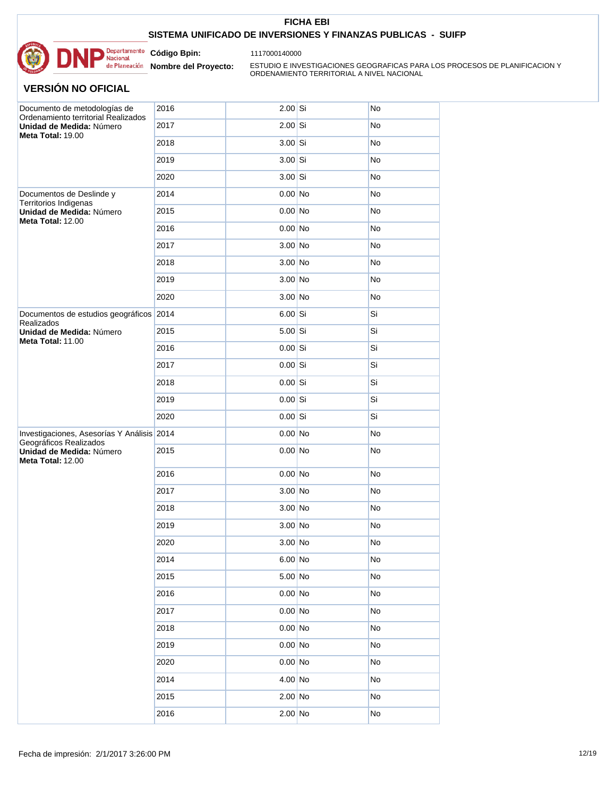

**Nombre del Proyecto:** 

**Código Bpin:**

ESTUDIO E INVESTIGACIONES GEOGRAFICAS PARA LOS PROCESOS DE PLANIFICACION Y ORDENAMIENTO TERRITORIAL A NIVEL NACIONAL

| Documento de metodologías de<br>Ordenamiento territorial Realizados  | 2016 | $2.00$ Si | No |
|----------------------------------------------------------------------|------|-----------|----|
| Unidad de Medida: Número<br>Meta Total: 19.00                        | 2017 | $2.00$ Si | No |
|                                                                      | 2018 | $3.00$ Si | No |
|                                                                      | 2019 | $3.00$ Si | No |
|                                                                      | 2020 | $3.00$ Si | No |
| Documentos de Deslinde y<br>Territorios Indigenas                    | 2014 | $0.00$ No | No |
| Unidad de Medida: Número<br>Meta Total: 12.00                        | 2015 | $0.00$ No | No |
|                                                                      | 2016 | $0.00$ No | No |
|                                                                      | 2017 | $3.00$ No | No |
|                                                                      | 2018 | $3.00$ No | No |
|                                                                      | 2019 | $3.00$ No | No |
|                                                                      | 2020 | $3.00$ No | No |
| Documentos de estudios geográficos 2014<br>Realizados                |      | $6.00$ Si | Si |
| Unidad de Medida: Número<br>Meta Total: 11.00                        | 2015 | $5.00$ Si | Si |
|                                                                      | 2016 | $0.00$ Si | Si |
|                                                                      | 2017 | $0.00$ Si | Si |
|                                                                      | 2018 | $0.00$ Si | Si |
|                                                                      | 2019 | $0.00$ Si | Si |
|                                                                      | 2020 | $0.00$ Si | Si |
| Investigaciones, Asesorías Y Análisis 2014<br>Geográficos Realizados |      | $0.00$ No | No |
| Unidad de Medida: Número<br><b>Meta Total: 12.00</b>                 | 2015 | $0.00$ No | No |
|                                                                      | 2016 | $0.00$ No | No |
|                                                                      | 2017 | $3.00$ No | No |
|                                                                      | 2018 | $3.00$ No | No |
|                                                                      | 2019 | $3.00$ No | No |
|                                                                      | 2020 | $3.00$ No | No |
|                                                                      | 2014 | $6.00$ No | No |
|                                                                      | 2015 | $5.00$ No | No |
|                                                                      | 2016 | $0.00$ No | No |
|                                                                      | 2017 | $0.00$ No | No |
|                                                                      | 2018 | $0.00$ No | No |
|                                                                      | 2019 | $0.00$ No | No |
|                                                                      | 2020 | $0.00$ No | No |
|                                                                      | 2014 | $4.00$ No | No |
|                                                                      | 2015 | $2.00$ No | No |
|                                                                      | 2016 | $2.00$ No | No |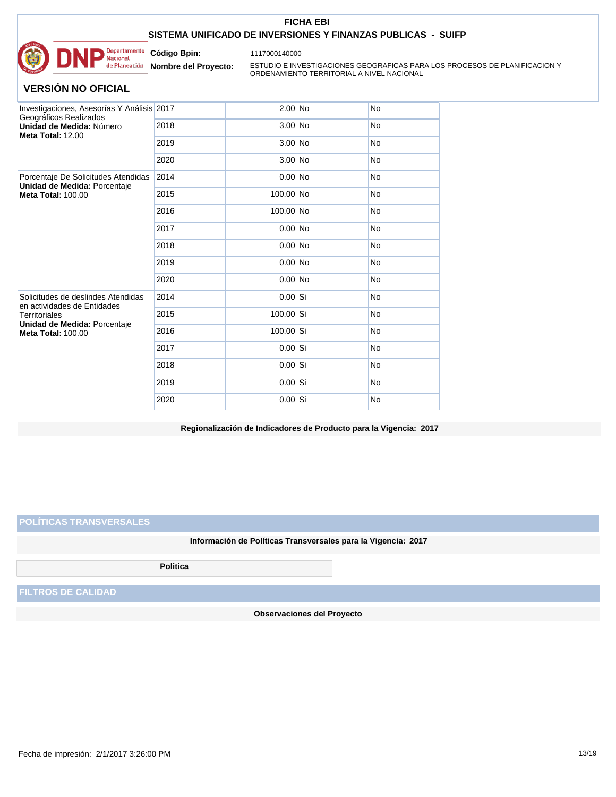

1117000140000

**Nombre del Proyecto:** 

**Código Bpin:**

ESTUDIO E INVESTIGACIONES GEOGRAFICAS PARA LOS PROCESOS DE PLANIFICACION Y ORDENAMIENTO TERRITORIAL A NIVEL NACIONAL

# **VERSIÓN NO OFICIAL**

| Investigaciones, Asesorías Y Análisis 2017<br>Geográficos Realizados<br>Unidad de Medida: Número<br>Meta Total: 12.00 |      | $2.00$ No | <b>No</b> |
|-----------------------------------------------------------------------------------------------------------------------|------|-----------|-----------|
|                                                                                                                       | 2018 | $3.00$ No | <b>No</b> |
|                                                                                                                       | 2019 | $3.00$ No | <b>No</b> |
|                                                                                                                       | 2020 | $3.00$ No | <b>No</b> |
| Porcentaje De Solicitudes Atendidas<br>Unidad de Medida: Porcentaje                                                   | 2014 | $0.00$ No | <b>No</b> |
| <b>Meta Total: 100.00</b>                                                                                             | 2015 | 100.00 No | <b>No</b> |
|                                                                                                                       | 2016 | 100.00 No | <b>No</b> |
|                                                                                                                       | 2017 | $0.00$ No | <b>No</b> |
|                                                                                                                       | 2018 | $0.00$ No | <b>No</b> |
|                                                                                                                       | 2019 | $0.00$ No | <b>No</b> |
|                                                                                                                       | 2020 | $0.00$ No | <b>No</b> |
| Solicitudes de deslindes Atendidas<br>en actividades de Entidades                                                     | 2014 | $0.00$ Si | <b>No</b> |
| <b>Territoriales</b><br>Unidad de Medida: Porcentaje                                                                  | 2015 | 100.00 Si | <b>No</b> |
| <b>Meta Total: 100.00</b>                                                                                             | 2016 | 100.00 Si | <b>No</b> |
|                                                                                                                       | 2017 | $0.00$ Si | <b>No</b> |
|                                                                                                                       | 2018 | $0.00$ Si | <b>No</b> |
|                                                                                                                       | 2019 | $0.00$ Si | <b>No</b> |
|                                                                                                                       | 2020 | $0.00$ Si | <b>No</b> |

**Regionalización de Indicadores de Producto para la Vigencia: 2017**

**POLÍTICAS TRANSVERSALES**

**Información de Políticas Transversales para la Vigencia: 2017**

**Politica**

**FILTROS DE CALIDAD**

**Observaciones del Proyecto**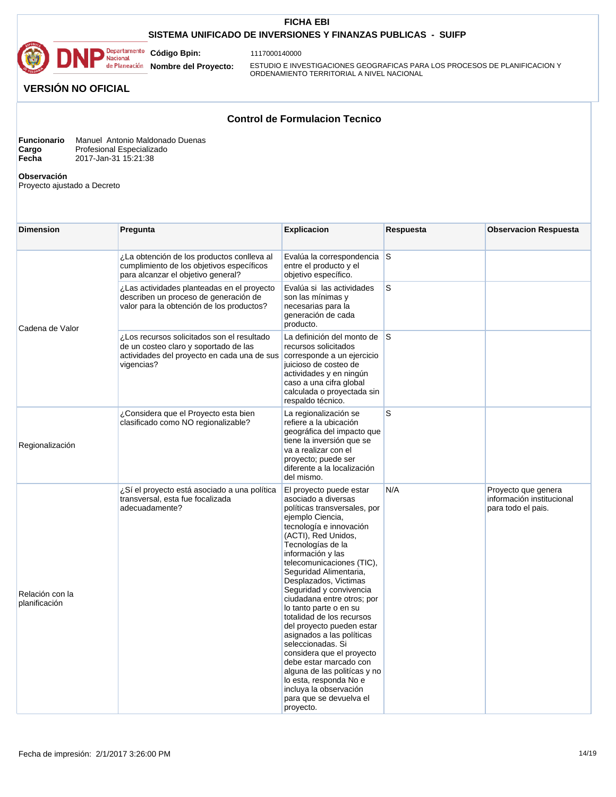## **SISTEMA UNIFICADO DE INVERSIONES Y FINANZAS PUBLICAS - SUIFP**



1117000140000

**Nombre del Proyecto:** 

ESTUDIO E INVESTIGACIONES GEOGRAFICAS PARA LOS PROCESOS DE PLANIFICACION Y ORDENAMIENTO TERRITORIAL A NIVEL NACIONAL

# **VERSIÓN NO OFICIAL**

## **Control de Formulacion Tecnico**

| <b>Funcionario</b> | Manuel Antonio Maldonado Duenas |
|--------------------|---------------------------------|
| Cargo              | Profesional Especializado       |
| Fecha              | 2017-Jan-31 15:21:38            |

**Observación** 

Proyecto ajustado a Decreto

| <b>Dimension</b>                 | Pregunta                                                                                                                                         | <b>Explicacion</b>                                                                                                                                                                                                                                                                                                                                                                                                                                                                                                                                                                                                                                               | Respuesta | <b>Observacion Respuesta</b>                                           |
|----------------------------------|--------------------------------------------------------------------------------------------------------------------------------------------------|------------------------------------------------------------------------------------------------------------------------------------------------------------------------------------------------------------------------------------------------------------------------------------------------------------------------------------------------------------------------------------------------------------------------------------------------------------------------------------------------------------------------------------------------------------------------------------------------------------------------------------------------------------------|-----------|------------------------------------------------------------------------|
|                                  | ¿La obtención de los productos conlleva al<br>cumplimiento de los objetivos específicos<br>para alcanzar el objetivo general?                    | Evalúa la correspondencia S<br>entre el producto y el<br>objetivo específico.                                                                                                                                                                                                                                                                                                                                                                                                                                                                                                                                                                                    |           |                                                                        |
|                                  | ¿Las actividades planteadas en el proyecto<br>describen un proceso de generación de<br>valor para la obtención de los productos?                 | Evalúa si las actividades<br>son las mínimas y<br>necesarias para la<br>generación de cada<br>producto.                                                                                                                                                                                                                                                                                                                                                                                                                                                                                                                                                          | S         |                                                                        |
| Cadena de Valor                  | ¿Los recursos solicitados son el resultado<br>de un costeo claro y soportado de las<br>actividades del proyecto en cada una de sus<br>vigencias? | La definición del monto de S<br>recursos solicitados<br>corresponde a un ejercicio<br>juicioso de costeo de<br>actividades y en ningún<br>caso a una cifra global<br>calculada o proyectada sin<br>respaldo técnico.                                                                                                                                                                                                                                                                                                                                                                                                                                             |           |                                                                        |
| Regionalización                  | ¿Considera que el Proyecto esta bien<br>clasificado como NO regionalizable?                                                                      | La regionalización se<br>refiere a la ubicación<br>geográfica del impacto que<br>tiene la inversión que se<br>va a realizar con el<br>proyecto; puede ser<br>diferente a la localización<br>del mismo.                                                                                                                                                                                                                                                                                                                                                                                                                                                           | S         |                                                                        |
| Relación con la<br>planificación | ¿Sí el proyecto está asociado a una política<br>transversal, esta fue focalizada<br>adecuadamente?                                               | El proyecto puede estar<br>asociado a diversas<br>políticas transversales, por<br>ejemplo Ciencia,<br>tecnología e innovación<br>(ACTI), Red Unidos,<br>Tecnologías de la<br>información y las<br>telecomunicaciones (TIC),<br>Seguridad Alimentaria,<br>Desplazados, Victimas<br>Seguridad y convivencia<br>ciudadana entre otros; por<br>lo tanto parte o en su<br>totalidad de los recursos<br>del proyecto pueden estar<br>asignados a las políticas<br>seleccionadas. Si<br>considera que el proyecto<br>debe estar marcado con<br>alguna de las politícas y no<br>lo esta, responda No e<br>incluya la observación<br>para que se devuelva el<br>proyecto. | N/A       | Proyecto que genera<br>información institucional<br>para todo el pais. |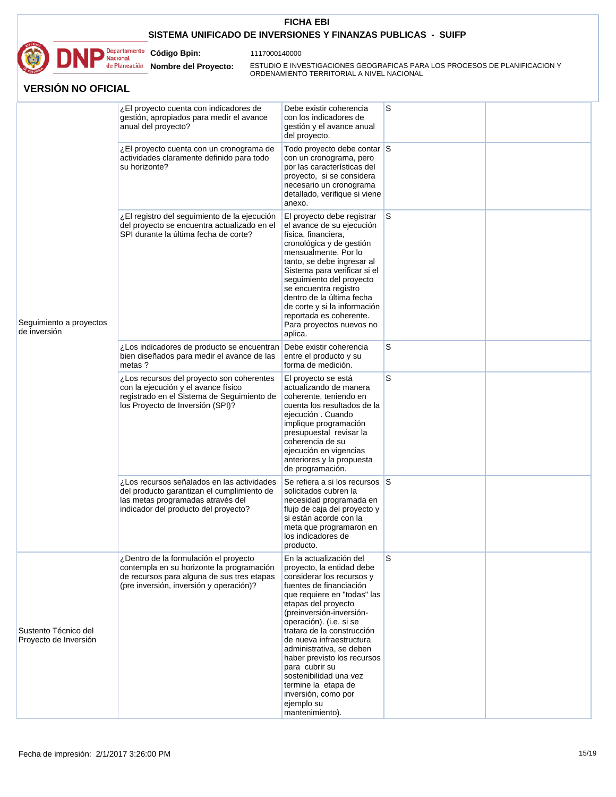

1117000140000

**Nombre del Proyecto:** 

**Código Bpin:**

ESTUDIO E INVESTIGACIONES GEOGRAFICAS PARA LOS PROCESOS DE PLANIFICACION Y ORDENAMIENTO TERRITORIAL A NIVEL NACIONAL

|                                               | ¿El proyecto cuenta con indicadores de<br>gestión, apropiados para medir el avance<br>anual del proyecto?                                                                   | Debe existir coherencia<br>con los indicadores de<br>gestión y el avance anual<br>del proyecto.                                                                                                                                                                                                                                                                                                                                                                           | S   |  |
|-----------------------------------------------|-----------------------------------------------------------------------------------------------------------------------------------------------------------------------------|---------------------------------------------------------------------------------------------------------------------------------------------------------------------------------------------------------------------------------------------------------------------------------------------------------------------------------------------------------------------------------------------------------------------------------------------------------------------------|-----|--|
| Seguimiento a proyectos<br>de inversión       | ¿El proyecto cuenta con un cronograma de<br>actividades claramente definido para todo<br>su horizonte?                                                                      | Todo proyecto debe contar S<br>con un cronograma, pero<br>por las características del<br>proyecto, si se considera<br>necesario un cronograma<br>detallado, verifique si viene<br>anexo.                                                                                                                                                                                                                                                                                  |     |  |
|                                               | ¿El registro del seguimiento de la ejecución<br>del proyecto se encuentra actualizado en el<br>SPI durante la última fecha de corte?                                        | El proyecto debe registrar<br>el avance de su ejecución<br>física, financiera,<br>cronológica y de gestión<br>mensualmente. Por lo<br>tanto, se debe ingresar al<br>Sistema para verificar si el<br>seguimiento del proyecto<br>se encuentra registro<br>dentro de la última fecha<br>de corte y si la información<br>reportada es coherente.<br>Para proyectos nuevos no<br>aplica.                                                                                      | ls. |  |
|                                               | ¿Los indicadores de producto se encuentran<br>bien diseñados para medir el avance de las<br>metas ?                                                                         | Debe existir coherencia<br>entre el producto y su<br>forma de medición.                                                                                                                                                                                                                                                                                                                                                                                                   | S   |  |
|                                               | ¿Los recursos del proyecto son coherentes<br>con la ejecución y el avance físico<br>registrado en el Sistema de Seguimiento de<br>los Proyecto de Inversión (SPI)?          | El proyecto se está<br>actualizando de manera<br>coherente, teniendo en<br>cuenta los resultados de la<br>ejecución . Cuando<br>implique programación<br>presupuestal revisar la<br>coherencia de su<br>ejecución en vigencias<br>anteriores y la propuesta<br>de programación.                                                                                                                                                                                           | S   |  |
|                                               | ¿Los recursos señalados en las actividades<br>del producto garantizan el cumplimiento de<br>las metas programadas através del<br>indicador del producto del proyecto?       | Se refiera a si los recursos S<br>solicitados cubren la<br>necesidad programada en<br>flujo de caja del proyecto y<br>si están acorde con la<br>meta que programaron en<br>los indicadores de<br>producto.                                                                                                                                                                                                                                                                |     |  |
| Sustento Técnico del<br>Proyecto de Inversión | ¿Dentro de la formulación el proyecto<br>contempla en su horizonte la programación<br>de recursos para alguna de sus tres etapas<br>(pre inversión, inversión y operación)? | En la actualización del<br>proyecto, la entidad debe<br>considerar los recursos y<br>fuentes de financiación<br>que requiere en "todas" las<br>etapas del proyecto<br>(preinversión-inversión-<br>operación). (i.e. si se<br>tratara de la construcción<br>de nueva infraestructura<br>administrativa, se deben<br>haber previsto los recursos<br>para cubrir su<br>sostenibilidad una vez<br>termine la etapa de<br>inversión, como por<br>ejemplo su<br>mantenimiento). | S   |  |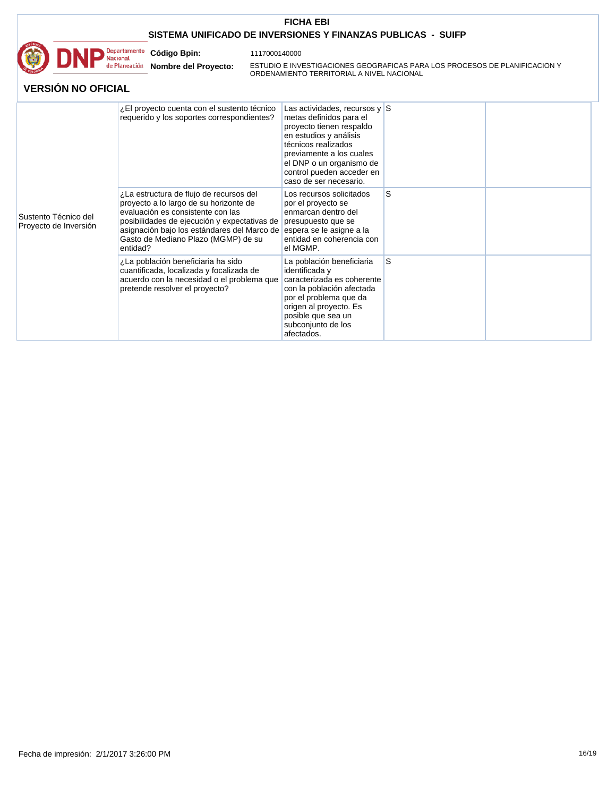

1117000140000

**Nombre del Proyecto:** 

**Código Bpin:**

ESTUDIO E INVESTIGACIONES GEOGRAFICAS PARA LOS PROCESOS DE PLANIFICACION Y ORDENAMIENTO TERRITORIAL A NIVEL NACIONAL

|                                               | ¿El proyecto cuenta con el sustento técnico<br>requerido y los soportes correspondientes?                                                                                                                                                                                | Las actividades, recursos y $\mid$ S<br>metas definidos para el<br>proyecto tienen respaldo<br>en estudios y análisis<br>técnicos realizados<br>previamente a los cuales<br>el DNP o un organismo de<br>control pueden acceder en<br>caso de ser necesario. |   |  |
|-----------------------------------------------|--------------------------------------------------------------------------------------------------------------------------------------------------------------------------------------------------------------------------------------------------------------------------|-------------------------------------------------------------------------------------------------------------------------------------------------------------------------------------------------------------------------------------------------------------|---|--|
| Sustento Técnico del<br>Proyecto de Inversión | ¿La estructura de flujo de recursos del<br>proyecto a lo largo de su horizonte de<br>evaluación es consistente con las<br>posibilidades de ejecución y expectativas de<br>asignación bajo los estándares del Marco de<br>Gasto de Mediano Plazo (MGMP) de su<br>entidad? | Los recursos solicitados<br>por el proyecto se<br>enmarcan dentro del<br>presupuesto que se<br>espera se le asigne a la<br>entidad en coherencia con<br>el MGMP.                                                                                            | S |  |
|                                               | ¿La población beneficiaria ha sido<br>cuantificada, localizada y focalizada de<br>acuerdo con la necesidad o el problema que<br>pretende resolver el proyecto?                                                                                                           | La población beneficiaria<br>identificada y<br>caracterizada es coherente<br>con la población afectada<br>por el problema que da<br>origen al proyecto. Es<br>posible que sea un<br>subconjunto de los<br>afectados.                                        | S |  |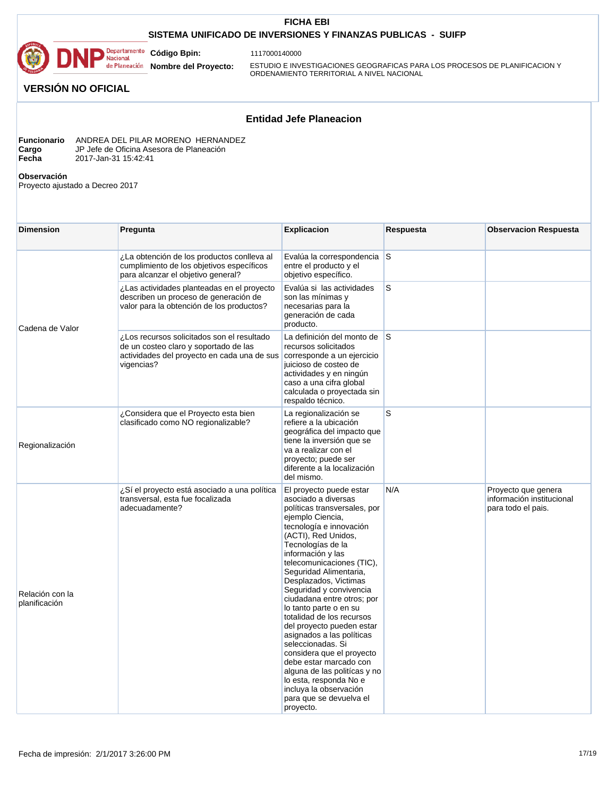## **SISTEMA UNIFICADO DE INVERSIONES Y FINANZAS PUBLICAS - SUIFP**



1117000140000

**Nombre del Proyecto:** 

ESTUDIO E INVESTIGACIONES GEOGRAFICAS PARA LOS PROCESOS DE PLANIFICACION Y ORDENAMIENTO TERRITORIAL A NIVEL NACIONAL

# **VERSIÓN NO OFICIAL**

# **Entidad Jefe Planeacion**

| <b>Funcionario</b> | ANDREA DEL PILAR MORENO HERNANDEZ        |
|--------------------|------------------------------------------|
| Cargo              | JP Jefe de Oficina Asesora de Planeación |
| Fecha              | 2017-Jan-31 15:42:41                     |

**Observación** 

Proyecto ajustado a Decreo 2017

| <b>Dimension</b>                 | Pregunta                                                                                                                                         | <b>Explicacion</b>                                                                                                                                                                                                                                                                                                                                                                                                                                                                                                                                                                                                                                               | Respuesta | <b>Observacion Respuesta</b>                                           |
|----------------------------------|--------------------------------------------------------------------------------------------------------------------------------------------------|------------------------------------------------------------------------------------------------------------------------------------------------------------------------------------------------------------------------------------------------------------------------------------------------------------------------------------------------------------------------------------------------------------------------------------------------------------------------------------------------------------------------------------------------------------------------------------------------------------------------------------------------------------------|-----------|------------------------------------------------------------------------|
|                                  | ¿La obtención de los productos conlleva al<br>cumplimiento de los objetivos específicos<br>para alcanzar el objetivo general?                    | Evalúa la correspondencia S<br>entre el producto y el<br>objetivo específico.                                                                                                                                                                                                                                                                                                                                                                                                                                                                                                                                                                                    |           |                                                                        |
| Cadena de Valor                  | ¿Las actividades planteadas en el proyecto<br>describen un proceso de generación de<br>valor para la obtención de los productos?                 | Evalúa si las actividades<br>son las mínimas y<br>necesarias para la<br>generación de cada<br>producto.                                                                                                                                                                                                                                                                                                                                                                                                                                                                                                                                                          | S         |                                                                        |
|                                  | ¿Los recursos solicitados son el resultado<br>de un costeo claro y soportado de las<br>actividades del proyecto en cada una de sus<br>vigencias? | La definición del monto de S<br>recursos solicitados<br>corresponde a un ejercicio<br>juicioso de costeo de<br>actividades y en ningún<br>caso a una cifra global<br>calculada o proyectada sin<br>respaldo técnico.                                                                                                                                                                                                                                                                                                                                                                                                                                             |           |                                                                        |
| Regionalización                  | ¿Considera que el Proyecto esta bien<br>clasificado como NO regionalizable?                                                                      | La regionalización se<br>refiere a la ubicación<br>geográfica del impacto que<br>tiene la inversión que se<br>va a realizar con el<br>proyecto; puede ser<br>diferente a la localización<br>del mismo.                                                                                                                                                                                                                                                                                                                                                                                                                                                           | S         |                                                                        |
| Relación con la<br>planificación | ¿Sí el proyecto está asociado a una política<br>transversal, esta fue focalizada<br>adecuadamente?                                               | El proyecto puede estar<br>asociado a diversas<br>políticas transversales, por<br>ejemplo Ciencia,<br>tecnología e innovación<br>(ACTI), Red Unidos,<br>Tecnologías de la<br>información y las<br>telecomunicaciones (TIC),<br>Seguridad Alimentaria,<br>Desplazados, Victimas<br>Seguridad y convivencia<br>ciudadana entre otros; por<br>lo tanto parte o en su<br>totalidad de los recursos<br>del proyecto pueden estar<br>asignados a las políticas<br>seleccionadas. Si<br>considera que el proyecto<br>debe estar marcado con<br>alguna de las politícas y no<br>lo esta, responda No e<br>incluya la observación<br>para que se devuelva el<br>proyecto. | N/A       | Proyecto que genera<br>información institucional<br>para todo el pais. |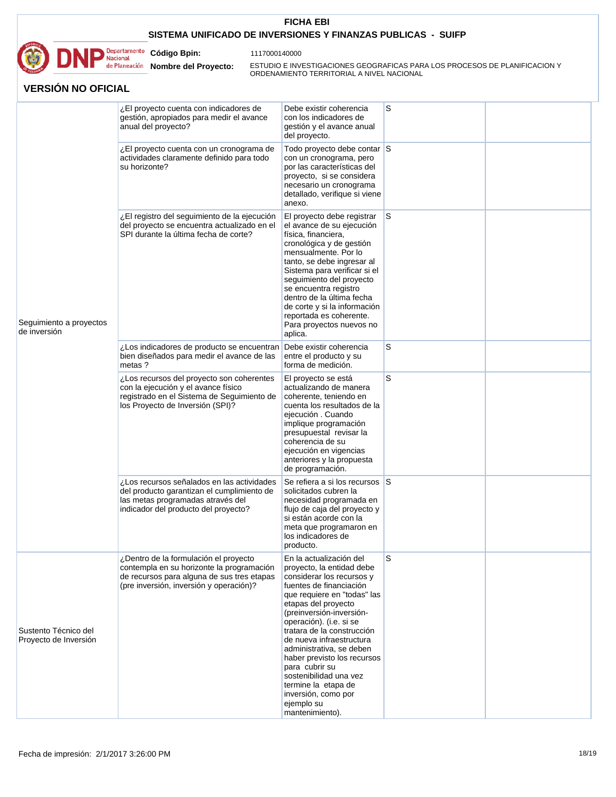

1117000140000

**Nombre del Proyecto:** 

**Código Bpin:**

ESTUDIO E INVESTIGACIONES GEOGRAFICAS PARA LOS PROCESOS DE PLANIFICACION Y ORDENAMIENTO TERRITORIAL A NIVEL NACIONAL

|                                               | ¿El proyecto cuenta con indicadores de<br>gestión, apropiados para medir el avance<br>anual del proyecto?                                                                   | Debe existir coherencia<br>con los indicadores de<br>gestión y el avance anual<br>del proyecto.                                                                                                                                                                                                                                                                                                                                                                           | S        |  |
|-----------------------------------------------|-----------------------------------------------------------------------------------------------------------------------------------------------------------------------------|---------------------------------------------------------------------------------------------------------------------------------------------------------------------------------------------------------------------------------------------------------------------------------------------------------------------------------------------------------------------------------------------------------------------------------------------------------------------------|----------|--|
|                                               | ¿El proyecto cuenta con un cronograma de<br>actividades claramente definido para todo<br>su horizonte?                                                                      | Todo proyecto debe contar S<br>con un cronograma, pero<br>por las características del<br>proyecto, si se considera<br>necesario un cronograma<br>detallado, verifique si viene<br>anexo.                                                                                                                                                                                                                                                                                  |          |  |
| Seguimiento a proyectos<br>de inversión       | ¿El registro del seguimiento de la ejecución<br>del proyecto se encuentra actualizado en el<br>SPI durante la última fecha de corte?                                        | El proyecto debe registrar<br>el avance de su ejecución<br>física, financiera,<br>cronológica y de gestión<br>mensualmente. Por lo<br>tanto, se debe ingresar al<br>Sistema para verificar si el<br>seguimiento del proyecto<br>se encuentra registro<br>dentro de la última fecha<br>de corte y si la información<br>reportada es coherente.<br>Para proyectos nuevos no<br>aplica.                                                                                      | <b>S</b> |  |
|                                               | ¿Los indicadores de producto se encuentran<br>bien diseñados para medir el avance de las<br>metas?                                                                          | Debe existir coherencia<br>entre el producto y su<br>forma de medición.                                                                                                                                                                                                                                                                                                                                                                                                   | S        |  |
|                                               | ¿Los recursos del proyecto son coherentes<br>con la ejecución y el avance físico<br>registrado en el Sistema de Seguimiento de<br>los Proyecto de Inversión (SPI)?          | El proyecto se está<br>actualizando de manera<br>coherente, teniendo en<br>cuenta los resultados de la<br>ejecución . Cuando<br>implique programación<br>presupuestal revisar la<br>coherencia de su<br>ejecución en vigencias<br>anteriores y la propuesta<br>de programación.                                                                                                                                                                                           | S        |  |
|                                               | ¿Los recursos señalados en las actividades<br>del producto garantizan el cumplimiento de<br>las metas programadas através del<br>indicador del producto del proyecto?       | Se refiera a si los recursos S<br>solicitados cubren la<br>necesidad programada en<br>flujo de caja del proyecto y<br>si están acorde con la<br>meta que programaron en<br>los indicadores de<br>producto.                                                                                                                                                                                                                                                                |          |  |
| Sustento Técnico del<br>Proyecto de Inversión | ¿Dentro de la formulación el proyecto<br>contempla en su horizonte la programación<br>de recursos para alguna de sus tres etapas<br>(pre inversión, inversión y operación)? | En la actualización del<br>proyecto, la entidad debe<br>considerar los recursos y<br>fuentes de financiación<br>que requiere en "todas" las<br>etapas del proyecto<br>(preinversión-inversión-<br>operación). (i.e. si se<br>tratara de la construcción<br>de nueva infraestructura<br>administrativa, se deben<br>haber previsto los recursos<br>para cubrir su<br>sostenibilidad una vez<br>termine la etapa de<br>inversión, como por<br>ejemplo su<br>mantenimiento). | S        |  |